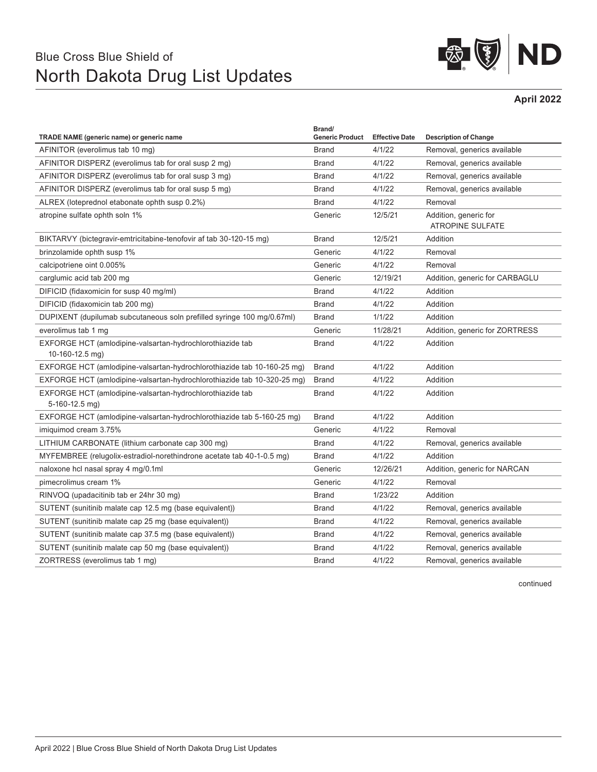## Blue Cross Blue Shield of North Dakota Drug List Updates



**April 2022**

| TRADE NAME (generic name) or generic name                                     | Brand/<br><b>Generic Product</b> | <b>Effective Date</b> | <b>Description of Change</b>                     |
|-------------------------------------------------------------------------------|----------------------------------|-----------------------|--------------------------------------------------|
| AFINITOR (everolimus tab 10 mg)                                               | <b>Brand</b>                     | 4/1/22                | Removal, generics available                      |
| AFINITOR DISPERZ (everolimus tab for oral susp 2 mg)                          | <b>Brand</b>                     | 4/1/22                | Removal, generics available                      |
| AFINITOR DISPERZ (everolimus tab for oral susp 3 mg)                          | <b>Brand</b>                     | 4/1/22                | Removal, generics available                      |
| AFINITOR DISPERZ (everolimus tab for oral susp 5 mg)                          | <b>Brand</b>                     | 4/1/22                | Removal, generics available                      |
| ALREX (loteprednol etabonate ophth susp 0.2%)                                 | <b>Brand</b>                     | 4/1/22                | Removal                                          |
| atropine sulfate ophth soln 1%                                                | Generic                          | 12/5/21               | Addition, generic for<br><b>ATROPINE SULFATE</b> |
| BIKTARVY (bictegravir-emtricitabine-tenofovir af tab 30-120-15 mg)            | <b>Brand</b>                     | 12/5/21               | Addition                                         |
| brinzolamide ophth susp 1%                                                    | Generic                          | 4/1/22                | Removal                                          |
| calcipotriene oint 0.005%                                                     | Generic                          | 4/1/22                | Removal                                          |
| carglumic acid tab 200 mg                                                     | Generic                          | 12/19/21              | Addition, generic for CARBAGLU                   |
| DIFICID (fidaxomicin for susp 40 mg/ml)                                       | <b>Brand</b>                     | 4/1/22                | Addition                                         |
| DIFICID (fidaxomicin tab 200 mg)                                              | <b>Brand</b>                     | 4/1/22                | Addition                                         |
| DUPIXENT (dupilumab subcutaneous soln prefilled syringe 100 mg/0.67ml)        | <b>Brand</b>                     | 1/1/22                | Addition                                         |
| everolimus tab 1 mg                                                           | Generic                          | 11/28/21              | Addition, generic for ZORTRESS                   |
| EXFORGE HCT (amlodipine-valsartan-hydrochlorothiazide tab<br>10-160-12.5 mg)  | <b>Brand</b>                     | 4/1/22                | Addition                                         |
| EXFORGE HCT (amlodipine-valsartan-hydrochlorothiazide tab 10-160-25 mg)       | <b>Brand</b>                     | 4/1/22                | Addition                                         |
| EXFORGE HCT (amlodipine-valsartan-hydrochlorothiazide tab 10-320-25 mg)       | <b>Brand</b>                     | 4/1/22                | Addition                                         |
| EXFORGE HCT (amlodipine-valsartan-hydrochlorothiazide tab<br>$5-160-12.5$ mg) | <b>Brand</b>                     | 4/1/22                | Addition                                         |
| EXFORGE HCT (amlodipine-valsartan-hydrochlorothiazide tab 5-160-25 mg)        | <b>Brand</b>                     | 4/1/22                | Addition                                         |
| imiguimod cream 3.75%                                                         | Generic                          | 4/1/22                | Removal                                          |
| LITHIUM CARBONATE (lithium carbonate cap 300 mg)                              | <b>Brand</b>                     | 4/1/22                | Removal, generics available                      |
| MYFEMBREE (relugolix-estradiol-norethindrone acetate tab 40-1-0.5 mg)         | <b>Brand</b>                     | 4/1/22                | Addition                                         |
| naloxone hcl nasal spray 4 mg/0.1ml                                           | Generic                          | 12/26/21              | Addition, generic for NARCAN                     |
| pimecrolimus cream 1%                                                         | Generic                          | 4/1/22                | Removal                                          |
| RINVOQ (upadacitinib tab er 24hr 30 mg)                                       | <b>Brand</b>                     | 1/23/22               | Addition                                         |
| SUTENT (sunitinib malate cap 12.5 mg (base equivalent))                       | <b>Brand</b>                     | 4/1/22                | Removal, generics available                      |
| SUTENT (sunitinib malate cap 25 mg (base equivalent))                         | <b>Brand</b>                     | 4/1/22                | Removal, generics available                      |
| SUTENT (sunitinib malate cap 37.5 mg (base equivalent))                       | <b>Brand</b>                     | 4/1/22                | Removal, generics available                      |
| SUTENT (sunitinib malate cap 50 mg (base equivalent))                         | <b>Brand</b>                     | 4/1/22                | Removal, generics available                      |
| ZORTRESS (everolimus tab 1 mg)                                                | <b>Brand</b>                     | 4/1/22                | Removal, generics available                      |

continued